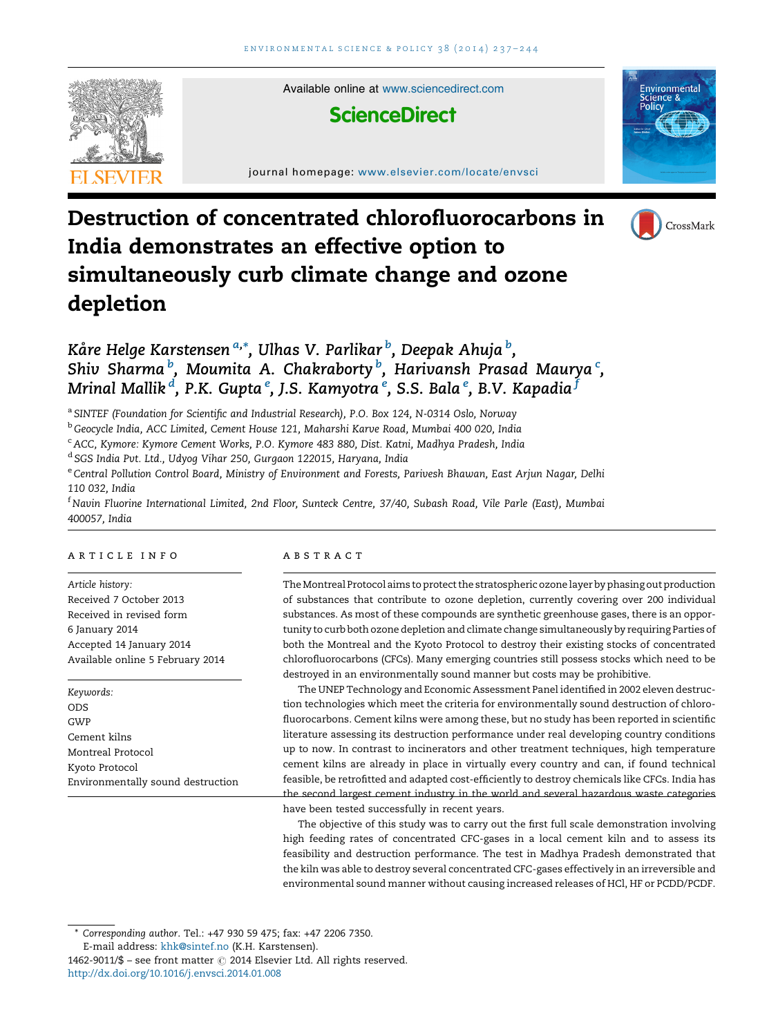

Available online at [www.sciencedirect.com](http://www.sciencedirect.com/science/journal/14629011)

# **ScienceDirect**

journal homepage: <www.elsevier.com/locate/envsci>



# Destruction of concentrated chlorofluorocarbons in India demonstrates an effective option to simultaneously curb climate change and ozone depletion



# Kåre Helge Karstensen<sup>a,</sup>\*, Ulhas V. Parlikar <sup>b</sup>, Deepak Ahuja <sup>b</sup>, Shiv Sharma $^{\rm b}$ , Moumita A. Chakraborty $^{\rm b}$ , Harivansh Prasad Maurya $^{\rm c}$ , Mrinal Mallik <sup>d</sup>, P.K. Gupta <sup>e</sup>, J.S. Kamyotra <sup>e</sup>, S.S. Bala <sup>e</sup>, B.V. Kapadia <sup>j</sup>

a SINTEF (Foundation for Scientific and Industrial Research), P.O. Box 124, N-0314 Oslo, Norway

<sup>b</sup> Geocycle India, ACC Limited, Cement House 121, Maharshi Karve Road, Mumbai 400 020, India

<sup>c</sup> ACC, Kymore: Kymore Cement Works, P.O. Kymore 483 880, Dist. Katni, Madhya Pradesh, India

<sup>d</sup> SGS India Pvt. Ltd., Udyog Vihar 250, Gurgaon 122015, Haryana, India

e Central Pollution Control Board, Ministry of Environment and Forests, Parivesh Bhawan, East Arjun Nagar, Delhi 110 032, India

<sup>f</sup> Navin Fluorine International Limited, 2nd Floor, Sunteck Centre, 37/40, Subash Road, Vile Parle (East), Mumbai 400057, India

#### a r t i c l e i n f o

Article history: Received 7 October 2013 Received in revised form 6 January 2014 Accepted 14 January 2014 Available online 5 February 2014

Keywords: ODS **GWP** Cement kilns Montreal Protocol Kyoto Protocol Environmentally sound destruction

#### A B S T R A C T

The Montreal Protocol aims to protect the stratospheric ozone layer by phasing out production of substances that contribute to ozone depletion, currently covering over 200 individual substances. As most of these compounds are synthetic greenhouse gases, there is an opportunity to curb both ozone depletion and climate change simultaneously by requiring Parties of both the Montreal and the Kyoto Protocol to destroy their existing stocks of concentrated chlorofluorocarbons (CFCs). Many emerging countries still possess stocks which need to be destroyed in an environmentally sound manner but costs may be prohibitive.

The UNEP Technology and Economic Assessment Panel identified in 2002 eleven destruction technologies which meet the criteria for environmentally sound destruction of chlorofluorocarbons. Cement kilns were among these, but no study has been reported in scientific literature assessing its destruction performance under real developing country conditions up to now. In contrast to incinerators and other treatment techniques, high temperature cement kilns are already in place in virtually every country and can, if found technical feasible, be retrofitted and adapted cost-efficiently to destroy chemicals like CFCs. India has the second largest cement industry in the world and several hazardous waste categories have been tested successfully in recent years.

The objective of this study was to carry out the first full scale demonstration involving high feeding rates of concentrated CFC-gases in a local cement kiln and to assess its feasibility and destruction performance. The test in Madhya Pradesh demonstrated that the kiln was able to destroy several concentrated CFC-gases effectively in an irreversible and environmental sound manner without causing increased releases of HCl, HF or PCDD/PCDF.

Corresponding author. Tel.: +47 930 59 475; fax: +47 2206 7350. E-mail address: [khk@sintef.no](mailto:khk@sintef.no) (K.H. Karstensen).

<http://dx.doi.org/10.1016/j.envsci.2014.01.008>

<sup>1462-9011/\$ -</sup> see front matter © 2014 Elsevier Ltd. All rights reserved.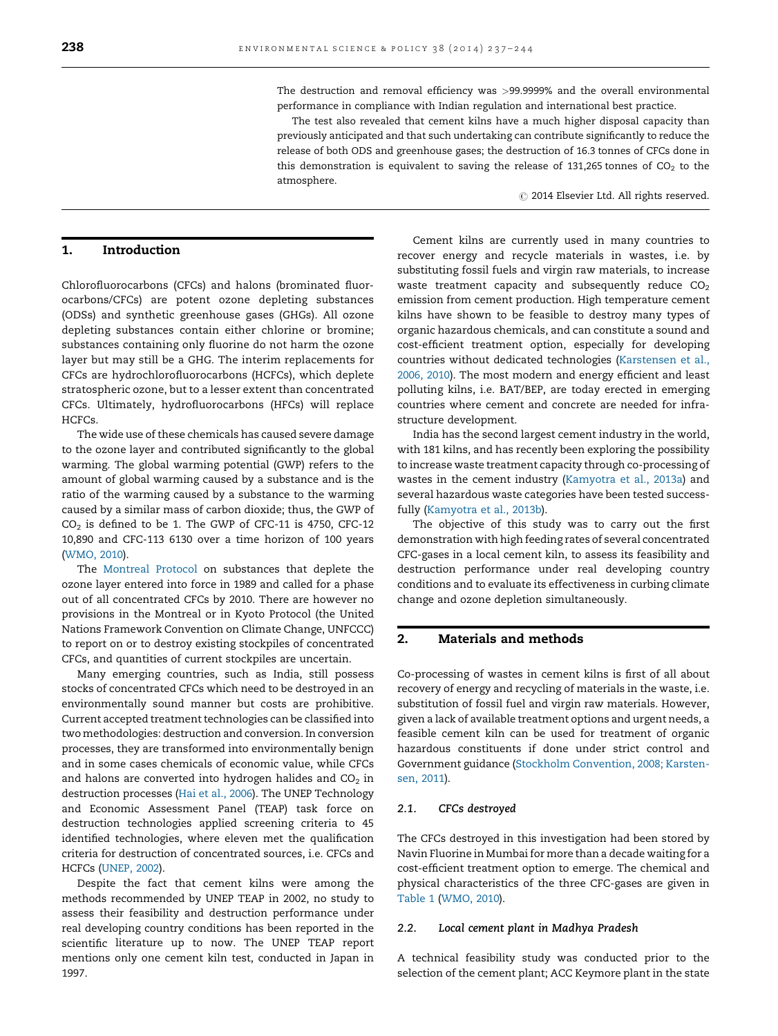The destruction and removal efficiency was >99.9999% and the overall environmental performance in compliance with Indian regulation and international best practice.

The test also revealed that cement kilns have a much higher disposal capacity than previously anticipated and that such undertaking can contribute significantly to reduce the release of both ODS and greenhouse gases; the destruction of 16.3 tonnes of CFCs done in this demonstration is equivalent to saving the release of 131,265 tonnes of  $CO<sub>2</sub>$  to the atmosphere.

 $\oslash$  2014 Elsevier Ltd. All rights reserved.

# 1. Introduction

Chlorofluorocarbons (CFCs) and halons (brominated fluorocarbons/CFCs) are potent ozone depleting substances (ODSs) and synthetic greenhouse gases (GHGs). All ozone depleting substances contain either chlorine or bromine; substances containing only fluorine do not harm the ozone layer but may still be a GHG. The interim replacements for CFCs are hydrochlorofluorocarbons (HCFCs), which deplete stratospheric ozone, but to a lesser extent than concentrated CFCs. Ultimately, hydrofluorocarbons (HFCs) will replace HCFCs.

The wide use of these chemicals has caused severe damage to the ozone layer and contributed significantly to the global warming. The global warming potential (GWP) refers to the amount of global warming caused by a substance and is the ratio of the warming caused by a substance to the warming caused by a similar mass of carbon dioxide; thus, the GWP of  $CO<sub>2</sub>$  is defined to be 1. The GWP of CFC-11 is 4750, CFC-12 10,890 and CFC-113 6130 over a time horizon of 100 years ([WMO,](#page-7-0) 2010).

The [Montreal](#page-7-0) Protocol on substances that deplete the ozone layer entered into force in 1989 and called for a phase out of all concentrated CFCs by 2010. There are however no provisions in the Montreal or in Kyoto Protocol (the United Nations Framework Convention on Climate Change, UNFCCC) to report on or to destroy existing stockpiles of concentrated CFCs, and quantities of current stockpiles are uncertain.

Many emerging countries, such as India, still possess stocks of concentrated CFCs which need to be destroyed in an environmentally sound manner but costs are prohibitive. Current accepted treatment technologies can be classified into two methodologies: destruction and conversion. In conversion processes, they are transformed into environmentally benign and in some cases chemicals of economic value, while CFCs and halons are converted into hydrogen halides and  $CO<sub>2</sub>$  in destruction processes (Hai et al., [2006](#page-7-0)). The UNEP Technology and Economic Assessment Panel (TEAP) task force on destruction technologies applied screening criteria to 45 identified technologies, where eleven met the qualification criteria for destruction of concentrated sources, i.e. CFCs and HCFCs ([UNEP,](#page-7-0) 2002).

Despite the fact that cement kilns were among the methods recommended by UNEP TEAP in 2002, no study to assess their feasibility and destruction performance under real developing country conditions has been reported in the scientific literature up to now. The UNEP TEAP report mentions only one cement kiln test, conducted in Japan in 1997.

Cement kilns are currently used in many countries to recover energy and recycle materials in wastes, i.e. by substituting fossil fuels and virgin raw materials, to increase waste treatment capacity and subsequently reduce  $CO<sub>2</sub>$ emission from cement production. High temperature cement kilns have shown to be feasible to destroy many types of organic hazardous chemicals, and can constitute a sound and cost-efficient treatment option, especially for developing countries without dedicated technologies [\(Karstensen](#page-7-0) et al., [2006,](#page-7-0) 2010). The most modern and energy efficient and least polluting kilns, i.e. BAT/BEP, are today erected in emerging countries where cement and concrete are needed for infrastructure development.

India has the second largest cement industry in the world, with 181 kilns, and has recently been exploring the possibility to increase waste treatment capacity through co-processing of wastes in the cement industry [\(Kamyotra](#page-7-0) et al., 2013a) and several hazardous waste categories have been tested successfully [\(Kamyotra](#page-7-0) et al., 2013b).

The objective of this study was to carry out the first demonstration with high feeding rates of several concentrated CFC-gases in a local cement kiln, to assess its feasibility and destruction performance under real developing country conditions and to evaluate its effectiveness in curbing climate change and ozone depletion simultaneously.

## 2. Materials and methods

Co-processing of wastes in cement kilns is first of all about recovery of energy and recycling of materials in the waste, i.e. substitution of fossil fuel and virgin raw materials. However, given a lack of available treatment options and urgent needs, a feasible cement kiln can be used for treatment of organic hazardous constituents if done under strict control and Government guidance (Stockholm [Convention,](#page-7-0) 2008; Karstensen, [2011](#page-7-0)).

#### 2.1. CFCs destroyed

The CFCs destroyed in this investigation had been stored by Navin Fluorine in Mumbai for more than a decade waiting for a cost-efficient treatment option to emerge. The chemical and physical characteristics of the three CFC-gases are given in [Table](#page-2-0) 1 ([WMO,](#page-7-0) 2010).

#### 2.2. Local cement plant in Madhya Pradesh

A technical feasibility study was conducted prior to the selection of the cement plant; ACC Keymore plant in the state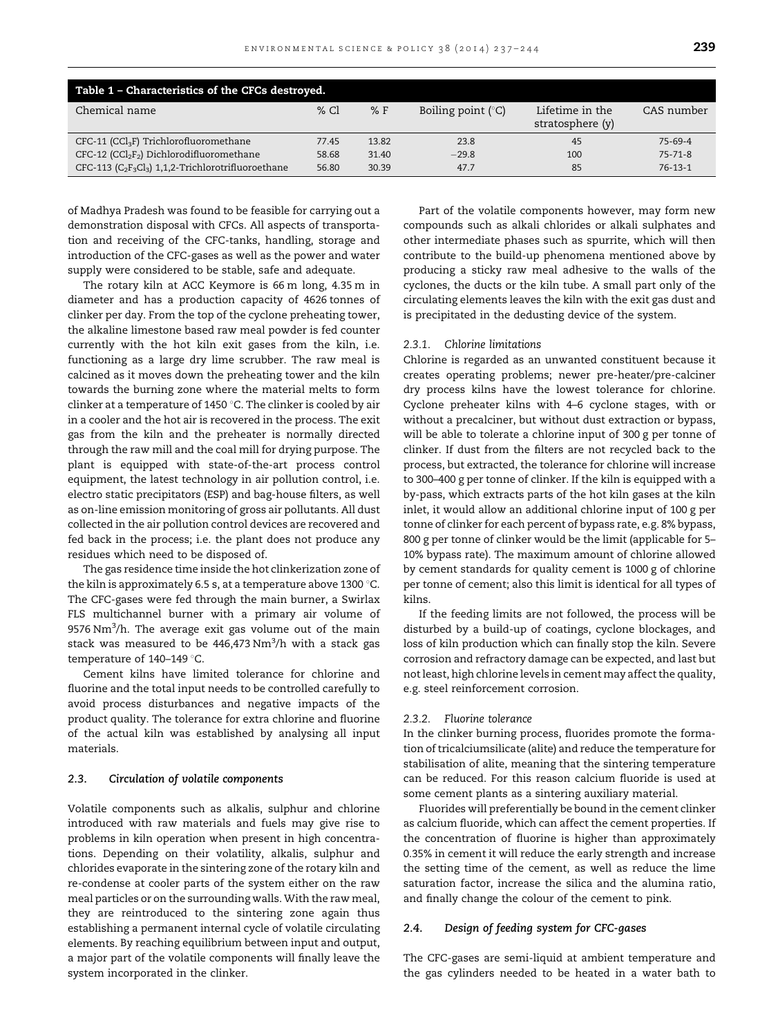<span id="page-2-0"></span>

| Table 1 - Characteristics of the CFCs destroyed.        |        |       |                            |                                     |               |
|---------------------------------------------------------|--------|-------|----------------------------|-------------------------------------|---------------|
| Chemical name                                           | $%$ Cl | % F   | Boiling point $(^\circ C)$ | Lifetime in the<br>stratosphere (y) | CAS number    |
| CFC-11 (CCl <sub>3</sub> F) Trichlorofluoromethane      | 77.45  | 13.82 | 23.8                       | 45                                  | $75-69-4$     |
| $CFC-12$ ( $CCl2F2$ ) Dichlorodifluoromethane           | 58.68  | 31.40 | $-29.8$                    | 100                                 | $75 - 71 - 8$ |
| CFC-113 ( $C_2F_3Cl_3$ ) 1,1,2-Trichlorotrifluoroethane | 56.80  | 30.39 | 47.7                       | 85                                  | $76 - 13 - 1$ |

of Madhya Pradesh was found to be feasible for carrying out a demonstration disposal with CFCs. All aspects of transportation and receiving of the CFC-tanks, handling, storage and introduction of the CFC-gases as well as the power and water supply were considered to be stable, safe and adequate.

The rotary kiln at ACC Keymore is 66 m long, 4.35 m in diameter and has a production capacity of 4626 tonnes of clinker per day. From the top of the cyclone preheating tower, the alkaline limestone based raw meal powder is fed counter currently with the hot kiln exit gases from the kiln, i.e. functioning as a large dry lime scrubber. The raw meal is calcined as it moves down the preheating tower and the kiln towards the burning zone where the material melts to form clinker at a temperature of 1450 °C. The clinker is cooled by air in a cooler and the hot air is recovered in the process. The exit gas from the kiln and the preheater is normally directed through the raw mill and the coal mill for drying purpose. The plant is equipped with state-of-the-art process control equipment, the latest technology in air pollution control, i.e. electro static precipitators (ESP) and bag-house filters, as well as on-line emission monitoring of gross air pollutants. All dust collected in the air pollution control devices are recovered and fed back in the process; i.e. the plant does not produce any residues which need to be disposed of.

The gas residence time inside the hot clinkerization zone of the kiln is approximately 6.5 s, at a temperature above 1300  $\degree$ C. The CFC-gases were fed through the main burner, a Swirlax FLS multichannel burner with a primary air volume of 9576 Nm ${}^{3}/$ h. The average exit gas volume out of the main stack was measured to be 446,473 Nm $^3\!/\mathrm{h}$  with a stack gas temperature of  $140-149$  °C.

Cement kilns have limited tolerance for chlorine and fluorine and the total input needs to be controlled carefully to avoid process disturbances and negative impacts of the product quality. The tolerance for extra chlorine and fluorine of the actual kiln was established by analysing all input materials.

#### 2.3. Circulation of volatile components

Volatile components such as alkalis, sulphur and chlorine introduced with raw materials and fuels may give rise to problems in kiln operation when present in high concentrations. Depending on their volatility, alkalis, sulphur and chlorides evaporate in the sintering zone of the rotary kiln and re-condense at cooler parts of the system either on the raw meal particles or on the surrounding walls. With the raw meal, they are reintroduced to the sintering zone again thus establishing a permanent internal cycle of volatile circulating elements. By reaching equilibrium between input and output, a major part of the volatile components will finally leave the system incorporated in the clinker.

Part of the volatile components however, may form new compounds such as alkali chlorides or alkali sulphates and other intermediate phases such as spurrite, which will then contribute to the build-up phenomena mentioned above by producing a sticky raw meal adhesive to the walls of the cyclones, the ducts or the kiln tube. A small part only of the circulating elements leaves the kiln with the exit gas dust and is precipitated in the dedusting device of the system.

#### 2.3.1. Chlorine limitations

Chlorine is regarded as an unwanted constituent because it creates operating problems; newer pre-heater/pre-calciner dry process kilns have the lowest tolerance for chlorine. Cyclone preheater kilns with 4–6 cyclone stages, with or without a precalciner, but without dust extraction or bypass, will be able to tolerate a chlorine input of 300 g per tonne of clinker. If dust from the filters are not recycled back to the process, but extracted, the tolerance for chlorine will increase to 300–400 g per tonne of clinker. If the kiln is equipped with a by-pass, which extracts parts of the hot kiln gases at the kiln inlet, it would allow an additional chlorine input of 100 g per tonne of clinker for each percent of bypass rate, e.g. 8% bypass, 800 g per tonne of clinker would be the limit (applicable for 5– 10% bypass rate). The maximum amount of chlorine allowed by cement standards for quality cement is 1000 g of chlorine per tonne of cement; also this limit is identical for all types of kilns.

If the feeding limits are not followed, the process will be disturbed by a build-up of coatings, cyclone blockages, and loss of kiln production which can finally stop the kiln. Severe corrosion and refractory damage can be expected, and last but not least, high chlorine levels in cement may affect the quality, e.g. steel reinforcement corrosion.

#### 2.3.2. Fluorine tolerance

In the clinker burning process, fluorides promote the formation of tricalciumsilicate (alite) and reduce the temperature for stabilisation of alite, meaning that the sintering temperature can be reduced. For this reason calcium fluoride is used at some cement plants as a sintering auxiliary material.

Fluorides will preferentially be bound in the cement clinker as calcium fluoride, which can affect the cement properties. If the concentration of fluorine is higher than approximately 0.35% in cement it will reduce the early strength and increase the setting time of the cement, as well as reduce the lime saturation factor, increase the silica and the alumina ratio, and finally change the colour of the cement to pink.

#### 2.4. Design of feeding system for CFC-gases

The CFC-gases are semi-liquid at ambient temperature and the gas cylinders needed to be heated in a water bath to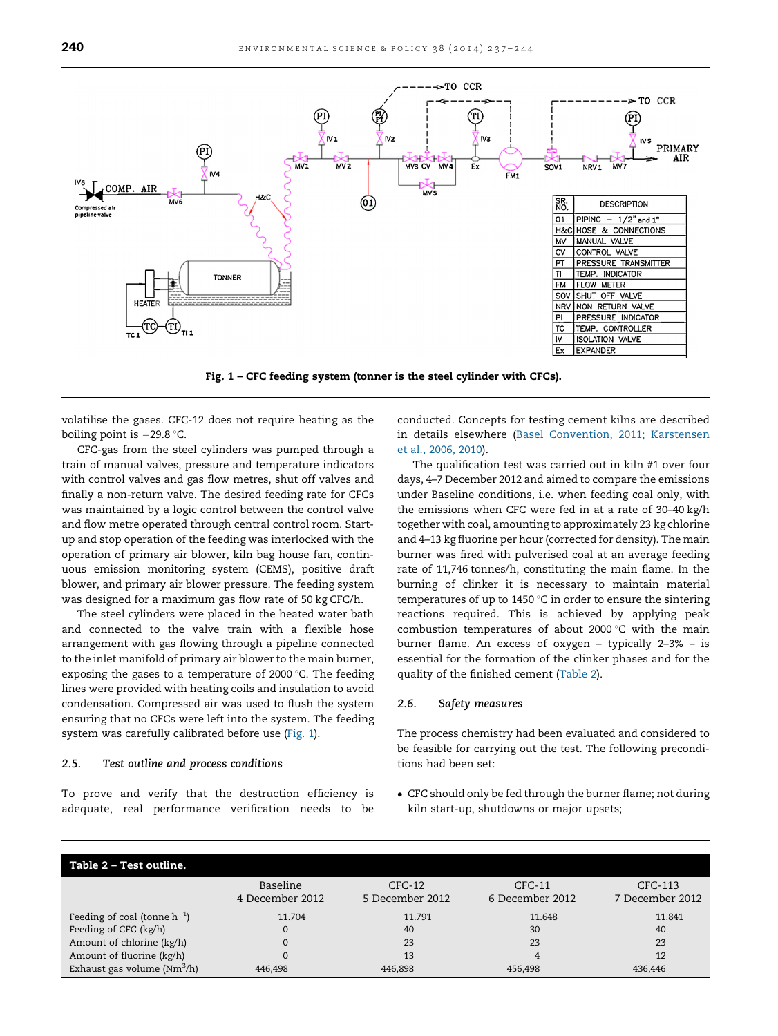

Fig. 1 – CFC feeding system (tonner is the steel cylinder with CFCs).

volatilise the gases. CFC-12 does not require heating as the boiling point is  $-29.8\,^{\circ}$ C.

CFC-gas from the steel cylinders was pumped through a train of manual valves, pressure and temperature indicators with control valves and gas flow metres, shut off valves and finally a non-return valve. The desired feeding rate for CFCs was maintained by a logic control between the control valve and flow metre operated through central control room. Startup and stop operation of the feeding was interlocked with the operation of primary air blower, kiln bag house fan, continuous emission monitoring system (CEMS), positive draft blower, and primary air blower pressure. The feeding system was designed for a maximum gas flow rate of 50 kg CFC/h.

The steel cylinders were placed in the heated water bath and connected to the valve train with a flexible hose arrangement with gas flowing through a pipeline connected to the inlet manifold of primary air blower to the main burner, exposing the gases to a temperature of 2000 $\degree$ C. The feeding lines were provided with heating coils and insulation to avoid condensation. Compressed air was used to flush the system ensuring that no CFCs were left into the system. The feeding system was carefully calibrated before use (Fig. 1).

### 2.5. Test outline and process conditions

To prove and verify that the destruction efficiency is adequate, real performance verification needs to be conducted. Concepts for testing cement kilns are described in details elsewhere (Basel [Convention,](#page-7-0) 2011; Karstensen et al., [2006,](#page-7-0) 2010).

The qualification test was carried out in kiln #1 over four days, 4–7 December 2012 and aimed to compare the emissions under Baseline conditions, i.e. when feeding coal only, with the emissions when CFC were fed in at a rate of 30–40 kg/h together with coal, amounting to approximately 23 kg chlorine and 4–13 kg fluorine per hour (corrected for density). The main burner was fired with pulverised coal at an average feeding rate of 11,746 tonnes/h, constituting the main flame. In the burning of clinker it is necessary to maintain material temperatures of up to 1450 $\degree$ C in order to ensure the sintering reactions required. This is achieved by applying peak combustion temperatures of about 2000 $\degree$ C with the main burner flame. An excess of oxygen – typically 2–3% – is essential for the formation of the clinker phases and for the quality of the finished cement (Table 2).

#### 2.6. Safety measures

The process chemistry had been evaluated and considered to be feasible for carrying out the test. The following preconditions had been set:

 CFC should only be fed through the burner flame; not during kiln start-up, shutdowns or major upsets;

| Table 2 - Test outline.           |                             |                             |                             |                            |
|-----------------------------------|-----------------------------|-----------------------------|-----------------------------|----------------------------|
|                                   | Baseline<br>4 December 2012 | $CFC-12$<br>5 December 2012 | $CFC-11$<br>6 December 2012 | CFC-113<br>7 December 2012 |
| Feeding of coal (tonne $h^{-1}$ ) | 11.704                      | 11.791                      | 11.648                      | 11.841                     |
| Feeding of CFC (kg/h)             |                             | 40                          | 30                          | 40                         |
| Amount of chlorine (kg/h)         |                             | 23                          | 23                          | 23                         |
| Amount of fluorine (kg/h)         |                             | 13                          |                             | 12                         |
| Exhaust gas volume $(Nm^3/h)$     | 446.498                     | 446,898                     | 456,498                     | 436,446                    |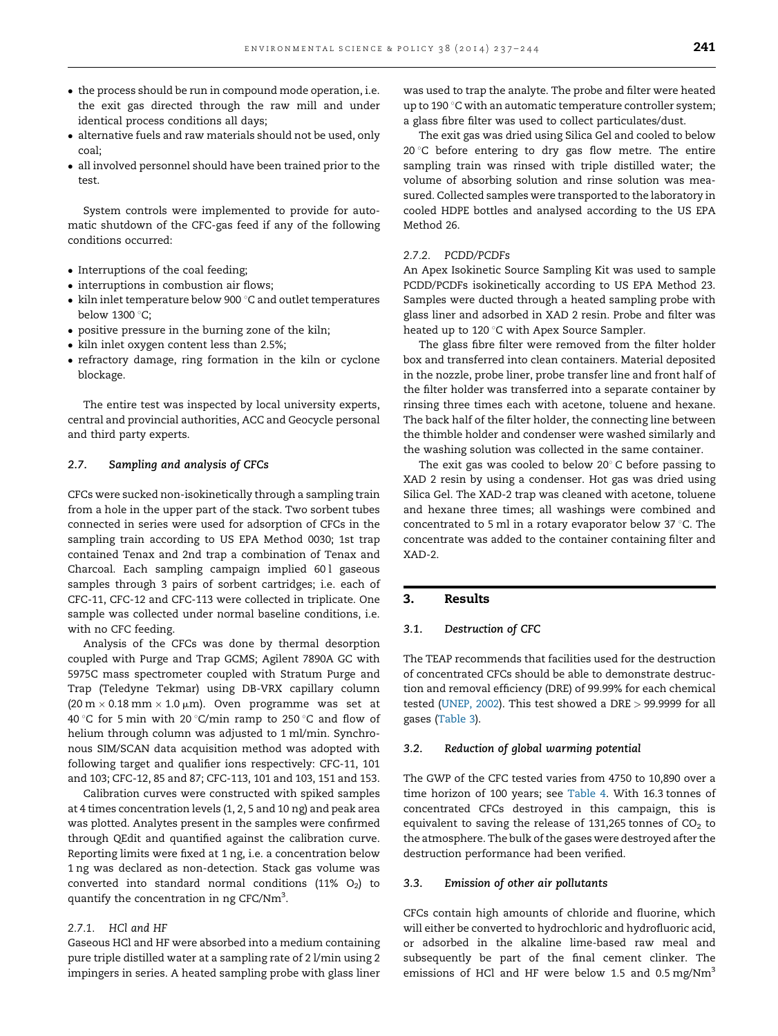- the process should be run in compound mode operation, i.e. the exit gas directed through the raw mill and under identical process conditions all days;
- alternative fuels and raw materials should not be used, only coal;
- all involved personnel should have been trained prior to the test.

System controls were implemented to provide for automatic shutdown of the CFC-gas feed if any of the following conditions occurred:

- Interruptions of the coal feeding;
- interruptions in combustion air flows;
- $\bullet$  kiln inlet temperature below 900 °C and outlet temperatures below  $1300$  °C;
- positive pressure in the burning zone of the kiln;
- kiln inlet oxygen content less than 2.5%;
- refractory damage, ring formation in the kiln or cyclone blockage.

The entire test was inspected by local university experts, central and provincial authorities, ACC and Geocycle personal and third party experts.

#### 2.7. Sampling and analysis of CFCs

CFCs were sucked non-isokinetically through a sampling train from a hole in the upper part of the stack. Two sorbent tubes connected in series were used for adsorption of CFCs in the sampling train according to US EPA Method 0030; 1st trap contained Tenax and 2nd trap a combination of Tenax and Charcoal. Each sampling campaign implied 601 gaseous samples through 3 pairs of sorbent cartridges; i.e. each of CFC-11, CFC-12 and CFC-113 were collected in triplicate. One sample was collected under normal baseline conditions, i.e. with no CFC feeding.

Analysis of the CFCs was done by thermal desorption coupled with Purge and Trap GCMS; Agilent 7890A GC with 5975C mass spectrometer coupled with Stratum Purge and Trap (Teledyne Tekmar) using DB-VRX capillary column  $(20 \text{ m} \times 0.18 \text{ mm} \times 1.0 \mu \text{m})$ . Oven programme was set at 40 °C for 5 min with 20 °C/min ramp to 250 °C and flow of helium through column was adjusted to 1 ml/min. Synchronous SIM/SCAN data acquisition method was adopted with following target and qualifier ions respectively: CFC-11, 101 and 103; CFC-12, 85 and 87; CFC-113, 101 and 103, 151 and 153.

Calibration curves were constructed with spiked samples at 4 times concentration levels (1, 2, 5 and 10 ng) and peak area was plotted. Analytes present in the samples were confirmed through QEdit and quantified against the calibration curve. Reporting limits were fixed at 1 ng, i.e. a concentration below 1 ng was declared as non-detection. Stack gas volume was converted into standard normal conditions (11%  $O<sub>2</sub>$ ) to quantify the concentration in ng CFC/Nm<sup>3</sup>.

#### 2.7.1. HCl and HF

Gaseous HCl and HF were absorbed into a medium containing pure triple distilled water at a sampling rate of 2 l/min using 2 impingers in series. A heated sampling probe with glass liner was used to trap the analyte. The probe and filter were heated up to 190 °C with an automatic temperature controller system; a glass fibre filter was used to collect particulates/dust.

The exit gas was dried using Silica Gel and cooled to below 20 $\degree$ C before entering to dry gas flow metre. The entire sampling train was rinsed with triple distilled water; the volume of absorbing solution and rinse solution was measured. Collected samples were transported to the laboratory in cooled HDPE bottles and analysed according to the US EPA Method 26.

#### 2.7.2. PCDD/PCDFs

An Apex Isokinetic Source Sampling Kit was used to sample PCDD/PCDFs isokinetically according to US EPA Method 23. Samples were ducted through a heated sampling probe with glass liner and adsorbed in XAD 2 resin. Probe and filter was heated up to 120 °C with Apex Source Sampler.

The glass fibre filter were removed from the filter holder box and transferred into clean containers. Material deposited in the nozzle, probe liner, probe transfer line and front half of the filter holder was transferred into a separate container by rinsing three times each with acetone, toluene and hexane. The back half of the filter holder, the connecting line between the thimble holder and condenser were washed similarly and the washing solution was collected in the same container.

The exit gas was cooled to below  $20^{\circ}$  C before passing to XAD 2 resin by using a condenser. Hot gas was dried using Silica Gel. The XAD-2 trap was cleaned with acetone, toluene and hexane three times; all washings were combined and concentrated to 5 ml in a rotary evaporator below 37 $\degree$ C. The concentrate was added to the container containing filter and XAD-2.

#### 3. Results

#### 3.1. Destruction of CFC

The TEAP recommends that facilities used for the destruction of concentrated CFCs should be able to demonstrate destruction and removal efficiency (DRE) of 99.99% for each chemical tested [\(UNEP,](#page-7-0) 2002). This test showed a DRE > 99.9999 for all gases [\(Table](#page-5-0) 3).

#### 3.2. Reduction of global warming potential

The GWP of the CFC tested varies from 4750 to 10,890 over a time horizon of 100 years; see [Table](#page-5-0) 4. With 16.3 tonnes of concentrated CFCs destroyed in this campaign, this is equivalent to saving the release of 131,265 tonnes of  $CO<sub>2</sub>$  to the atmosphere. The bulk of the gases were destroyed after the destruction performance had been verified.

#### 3.3. Emission of other air pollutants

CFCs contain high amounts of chloride and fluorine, which will either be converted to hydrochloric and hydrofluoric acid, or adsorbed in the alkaline lime-based raw meal and subsequently be part of the final cement clinker. The emissions of HCl and HF were below 1.5 and 0.5 mg/Nm<sup>3</sup>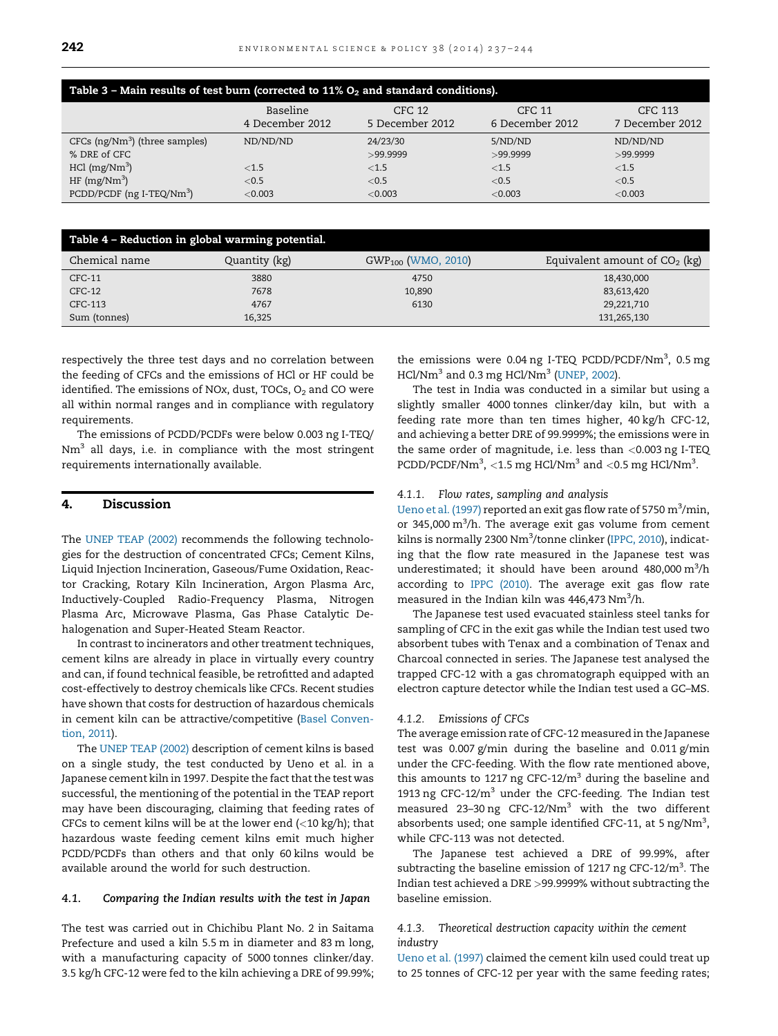<span id="page-5-0"></span>

| Table 3 - Main results of test burn (corrected to 11% $O2$ and standard conditions). |                             |                           |                                  |                                   |
|--------------------------------------------------------------------------------------|-----------------------------|---------------------------|----------------------------------|-----------------------------------|
|                                                                                      | Baseline<br>4 December 2012 | CFC 12<br>5 December 2012 | <b>CFC 11</b><br>6 December 2012 | <b>CFC 113</b><br>7 December 2012 |
| $CFCs$ (ng/ $Nm^3$ ) (three samples)                                                 | ND/ND/ND                    | 24/23/30                  | 5/ND/ND                          | ND/ND/ND                          |
| % DRE of CFC                                                                         |                             | >99.9999                  | >99.9999                         | >99.9999                          |
| $HCl$ (mg/Nm <sup>3</sup> )                                                          | < 1.5                       | < 1.5                     | ${<}1.5$                         | ${<}1.5$                          |
| HF $(mg/Nm^3)$                                                                       | < 0.5                       | < 0.5                     | < 0.5                            | < 0.5                             |
| PCDD/PCDF (ng I-TEQ/Nm <sup>3</sup> )                                                | < 0.003                     | < 0.003                   | < 0.003                          | < 0.003                           |

| Table 4 - Reduction in global warming potential. |               |                         |                                 |
|--------------------------------------------------|---------------|-------------------------|---------------------------------|
| Chemical name                                    | Quantity (kg) | $GWP_{100}$ (WMO, 2010) | Equivalent amount of $CO2$ (kg) |
| $CFC-11$                                         | 3880          | 4750                    | 18,430,000                      |
| $CFC-12$                                         | 7678          | 10,890                  | 83,613,420                      |
| CFC-113                                          | 4767          | 6130                    | 29,221,710                      |
| Sum (tonnes)                                     | 16,325        |                         | 131,265,130                     |

respectively the three test days and no correlation between the feeding of CFCs and the emissions of HCl or HF could be identified. The emissions of NOx, dust, TOCs,  $O<sub>2</sub>$  and CO were all within normal ranges and in compliance with regulatory requirements.

The emissions of PCDD/PCDFs were below 0.003 ng I-TEQ/ Nm<sup>3</sup> all days, i.e. in compliance with the most stringent requirements internationally available.

#### 4. Discussion

The UNEP TEAP [\(2002\)](#page-7-0) recommends the following technologies for the destruction of concentrated CFCs; Cement Kilns, Liquid Injection Incineration, Gaseous/Fume Oxidation, Reactor Cracking, Rotary Kiln Incineration, Argon Plasma Arc, Inductively-Coupled Radio-Frequency Plasma, Nitrogen Plasma Arc, Microwave Plasma, Gas Phase Catalytic Dehalogenation and Super-Heated Steam Reactor.

In contrast to incinerators and other treatment techniques, cement kilns are already in place in virtually every country and can, if found technical feasible, be retrofitted and adapted cost-effectively to destroy chemicals like CFCs. Recent studies have shown that costs for destruction of hazardous chemicals in cement kiln can be attractive/competitive (Basel [Conven](#page-7-0)[tion,](#page-7-0) 2011).

The UNEP TEAP [\(2002\)](#page-7-0) description of cement kilns is based on a single study, the test conducted by Ueno et al. in a Japanese cement kiln in 1997. Despite the fact that the test was successful, the mentioning of the potential in the TEAP report may have been discouraging, claiming that feeding rates of CFCs to cement kilns will be at the lower end  $\left($  < 10 kg/h); that hazardous waste feeding cement kilns emit much higher PCDD/PCDFs than others and that only 60 kilns would be available around the world for such destruction.

#### 4.1. Comparing the Indian results with the test in Japan

The test was carried out in Chichibu Plant No. 2 in Saitama Prefecture and used a kiln 5.5 m in diameter and 83 m long, with a manufacturing capacity of 5000 tonnes clinker/day. 3.5 kg/h CFC-12 were fed to the kiln achieving a DRE of 99.99%;

the emissions were 0.04 ng I-TEQ PCDD/PCDF/Nm<sup>3</sup>, 0.5 mg  $HCl/Nm<sup>3</sup>$  and 0.3 mg HCl/Nm<sup>3</sup> ([UNEP,](#page-7-0) 2002).

The test in India was conducted in a similar but using a slightly smaller 4000 tonnes clinker/day kiln, but with a feeding rate more than ten times higher, 40 kg/h CFC-12, and achieving a better DRE of 99.9999%; the emissions were in the same order of magnitude, i.e. less than <0.003 ng I-TEQ PCDD/PCDF/Nm<sup>3</sup>, <1.5 mg HCl/Nm<sup>3</sup> and <0.5 mg HCl/Nm<sup>3</sup>.

#### 4.1.1. Flow rates, sampling and analysis

Ueno et al. [\(1997\)](#page-7-0) reported an exit gas flow rate of 5750 m<sup>3</sup>/min, or 345,000 m<sup>3</sup>/h. The average exit gas volume from cement kilns is normally 2300 Nm<sup>3</sup>/tonne clinker [\(IPPC,](#page-7-0) 2010), indicating that the flow rate measured in the Japanese test was underestimated; it should have been around 480,000 m<sup>3</sup>/h according to IPPC [\(2010\)](#page-7-0). The average exit gas flow rate measured in the Indian kiln was 446,473 Nm<sup>3</sup>/h.

The Japanese test used evacuated stainless steel tanks for sampling of CFC in the exit gas while the Indian test used two absorbent tubes with Tenax and a combination of Tenax and Charcoal connected in series. The Japanese test analysed the trapped CFC-12 with a gas chromatograph equipped with an electron capture detector while the Indian test used a GC–MS.

#### 4.1.2. Emissions of CFCs

The average emission rate of CFC-12 measured in the Japanese test was 0.007 g/min during the baseline and 0.011 g/min under the CFC-feeding. With the flow rate mentioned above, this amounts to 1217 ng CFC-12/ $m<sup>3</sup>$  during the baseline and 1913 ng CFC-12/ $m<sup>3</sup>$  under the CFC-feeding. The Indian test measured 23–30 ng CFC-12/Nm3 with the two different absorbents used; one sample identified CFC-11, at 5 ng/Nm<sup>3</sup>, while CFC-113 was not detected.

The Japanese test achieved a DRE of 99.99%, after subtracting the baseline emission of 1217 ng CFC-12/ $m^3$ . The Indian test achieved a DRE >99.9999% without subtracting the baseline emission.

#### 4.1.3. Theoretical destruction capacity within the cement industry

Ueno et al. [\(1997\)](#page-7-0) claimed the cement kiln used could treat up to 25 tonnes of CFC-12 per year with the same feeding rates;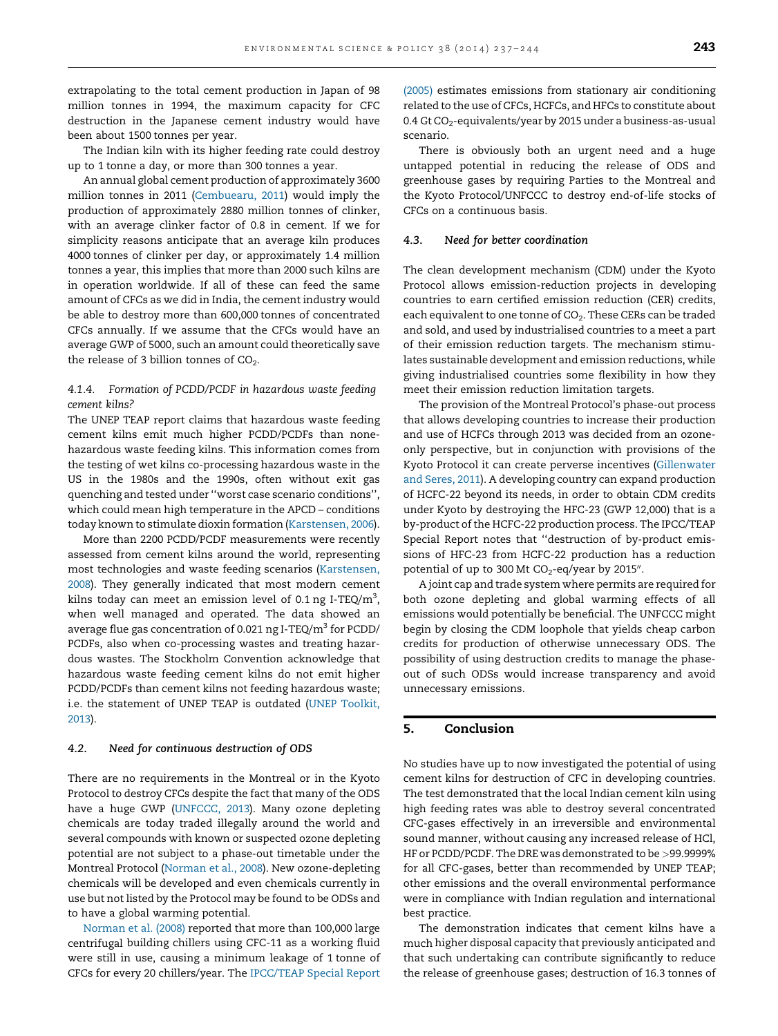extrapolating to the total cement production in Japan of 98 million tonnes in 1994, the maximum capacity for CFC destruction in the Japanese cement industry would have been about 1500 tonnes per year.

The Indian kiln with its higher feeding rate could destroy up to 1 tonne a day, or more than 300 tonnes a year.

An annual global cement production of approximately 3600 million tonnes in 2011 [\(Cembuearu,](#page-7-0) 2011) would imply the production of approximately 2880 million tonnes of clinker, with an average clinker factor of 0.8 in cement. If we for simplicity reasons anticipate that an average kiln produces 4000 tonnes of clinker per day, or approximately 1.4 million tonnes a year, this implies that more than 2000 such kilns are in operation worldwide. If all of these can feed the same amount of CFCs as we did in India, the cement industry would be able to destroy more than 600,000 tonnes of concentrated CFCs annually. If we assume that the CFCs would have an average GWP of 5000, such an amount could theoretically save the release of 3 billion tonnes of  $CO<sub>2</sub>$ .

#### 4.1.4. Formation of PCDD/PCDF in hazardous waste feeding cement kilns?

The UNEP TEAP report claims that hazardous waste feeding cement kilns emit much higher PCDD/PCDFs than nonehazardous waste feeding kilns. This information comes from the testing of wet kilns co-processing hazardous waste in the US in the 1980s and the 1990s, often without exit gas quenching and tested under ''worst case scenario conditions'', which could mean high temperature in the APCD – conditions today known to stimulate dioxin formation ([Karstensen,](#page-7-0) 2006).

More than 2200 PCDD/PCDF measurements were recently assessed from cement kilns around the world, representing most technologies and waste feeding scenarios ([Karstensen,](#page-7-0) [2008](#page-7-0)). They generally indicated that most modern cement kilns today can meet an emission level of 0.1 ng I-TEQ/m $^3,\,$ when well managed and operated. The data showed an average flue gas concentration of 0.021 ng I-TEQ/ $m^3$  for PCDD/ PCDFs, also when co-processing wastes and treating hazardous wastes. The Stockholm Convention acknowledge that hazardous waste feeding cement kilns do not emit higher PCDD/PCDFs than cement kilns not feeding hazardous waste; i.e. the statement of UNEP TEAP is outdated (UNEP [Toolkit,](#page-7-0) [2013](#page-7-0)).

#### 4.2. Need for continuous destruction of ODS

There are no requirements in the Montreal or in the Kyoto Protocol to destroy CFCs despite the fact that many of the ODS have a huge GWP ([UNFCCC,](#page-7-0) 2013). Many ozone depleting chemicals are today traded illegally around the world and several compounds with known or suspected ozone depleting potential are not subject to a phase-out timetable under the Montreal Protocol ([Norman](#page-7-0) et al., 2008). New ozone-depleting chemicals will be developed and even chemicals currently in use but not listed by the Protocol may be found to be ODSs and to have a global warming potential.

[Norman](#page-7-0) et al. (2008) reported that more than 100,000 large centrifugal building chillers using CFC-11 as a working fluid were still in use, causing a minimum leakage of 1 tonne of CFCs for every 20 chillers/year. The [IPCC/TEAP](#page-7-0) Special Report

[\(2005\)](#page-7-0) estimates emissions from stationary air conditioning related to the use of CFCs, HCFCs, and HFCs to constitute about 0.4 Gt  $CO_2$ -equivalents/year by 2015 under a business-as-usual scenario.

There is obviously both an urgent need and a huge untapped potential in reducing the release of ODS and greenhouse gases by requiring Parties to the Montreal and the Kyoto Protocol/UNFCCC to destroy end-of-life stocks of CFCs on a continuous basis.

#### 4.3. Need for better coordination

The clean development mechanism (CDM) under the Kyoto Protocol allows emission-reduction projects in developing countries to earn certified emission reduction (CER) credits, each equivalent to one tonne of CO<sub>2</sub>. These CERs can be traded and sold, and used by industrialised countries to a meet a part of their emission reduction targets. The mechanism stimulates sustainable development and emission reductions, while giving industrialised countries some flexibility in how they meet their emission reduction limitation targets.

The provision of the Montreal Protocol's phase-out process that allows developing countries to increase their production and use of HCFCs through 2013 was decided from an ozoneonly perspective, but in conjunction with provisions of the Kyoto Protocol it can create perverse incentives ([Gillenwater](#page-7-0) and [Seres,](#page-7-0) 2011). A developing country can expand production of HCFC-22 beyond its needs, in order to obtain CDM credits under Kyoto by destroying the HFC-23 (GWP 12,000) that is a by-product of the HCFC-22 production process. The IPCC/TEAP Special Report notes that ''destruction of by-product emissions of HFC-23 from HCFC-22 production has a reduction potential of up to 300 Mt  $CO_2$ -eq/year by 2015".

A joint cap and trade system where permits are required for both ozone depleting and global warming effects of all emissions would potentially be beneficial. The UNFCCC might begin by closing the CDM loophole that yields cheap carbon credits for production of otherwise unnecessary ODS. The possibility of using destruction credits to manage the phaseout of such ODSs would increase transparency and avoid unnecessary emissions.

#### 5. Conclusion

No studies have up to now investigated the potential of using cement kilns for destruction of CFC in developing countries. The test demonstrated that the local Indian cement kiln using high feeding rates was able to destroy several concentrated CFC-gases effectively in an irreversible and environmental sound manner, without causing any increased release of HCl, HF or PCDD/PCDF. The DRE was demonstrated to be >99.9999% for all CFC-gases, better than recommended by UNEP TEAP; other emissions and the overall environmental performance were in compliance with Indian regulation and international best practice.

The demonstration indicates that cement kilns have a much higher disposal capacity that previously anticipated and that such undertaking can contribute significantly to reduce the release of greenhouse gases; destruction of 16.3 tonnes of